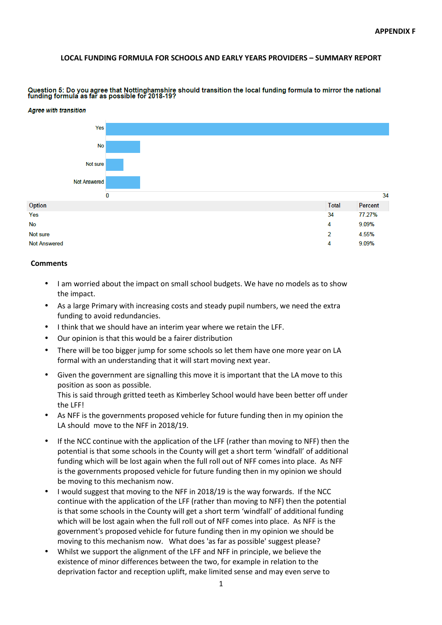#### **LOCAL FUNDING FORMULA FOR SCHOOLS AND EARLY YEARS PROVIDERS – SUMMARY REPORT**



Question 5: Do you agree that Nottinghamshire should transition the local funding formula to mirror the national<br>funding formula as far as possible for 2018-19?

- I am worried about the impact on small school budgets. We have no models as to show the impact.
- As a large Primary with increasing costs and steady pupil numbers, we need the extra funding to avoid redundancies.
- I think that we should have an interim year where we retain the LFF.
- Our opinion is that this would be a fairer distribution
- There will be too bigger jump for some schools so let them have one more year on LA formal with an understanding that it will start moving next year.
- Given the government are signalling this move it is important that the LA move to this position as soon as possible. This is said through gritted teeth as Kimberley School would have been better off under the LFF!
- As NFF is the governments proposed vehicle for future funding then in my opinion the LA should move to the NFF in 2018/19.
- If the NCC continue with the application of the LFF (rather than moving to NFF) then the potential is that some schools in the County will get a short term 'windfall' of additional funding which will be lost again when the full roll out of NFF comes into place. As NFF is the governments proposed vehicle for future funding then in my opinion we should be moving to this mechanism now.
- I would suggest that moving to the NFF in 2018/19 is the way forwards. If the NCC continue with the application of the LFF (rather than moving to NFF) then the potential is that some schools in the County will get a short term 'windfall' of additional funding which will be lost again when the full roll out of NFF comes into place. As NFF is the government's proposed vehicle for future funding then in my opinion we should be moving to this mechanism now. What does 'as far as possible' suggest please?
- Whilst we support the alignment of the LFF and NFF in principle, we believe the existence of minor differences between the two, for example in relation to the deprivation factor and reception uplift, make limited sense and may even serve to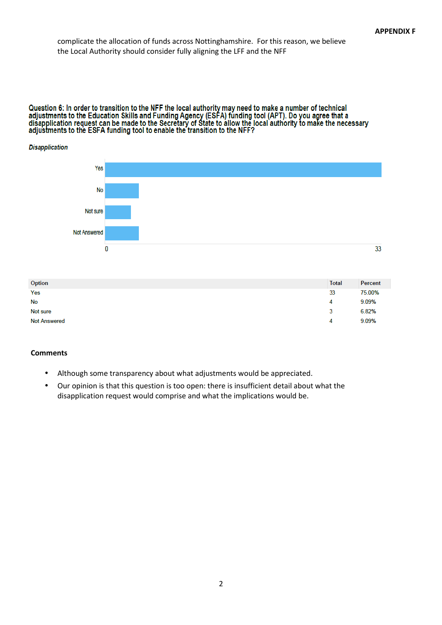# complicate the allocation of funds across Nottinghamshire. For this reason, we believe the Local Authority should consider fully aligning the LFF and the NFF

# Question 6: In order to transition to the NFF the local authority may need to make a number of technical<br>adjustments to the Education Skills and Funding Agency (ESFA) funding tool (APT). Do you agree that a<br>disapplication

# **Disapplication** Yes **No** Not sure **Not Answered**  $\overline{0}$ 33

| Option              | <b>Total</b> | Percent |
|---------------------|--------------|---------|
| Yes                 | 33           | 75.00%  |
| No                  | 4            | 9.09%   |
| Not sure            | 3            | 6.82%   |
| <b>Not Answered</b> | 4            | 9.09%   |

- Although some transparency about what adjustments would be appreciated.
- Our opinion is that this question is too open: there is insufficient detail about what the disapplication request would comprise and what the implications would be.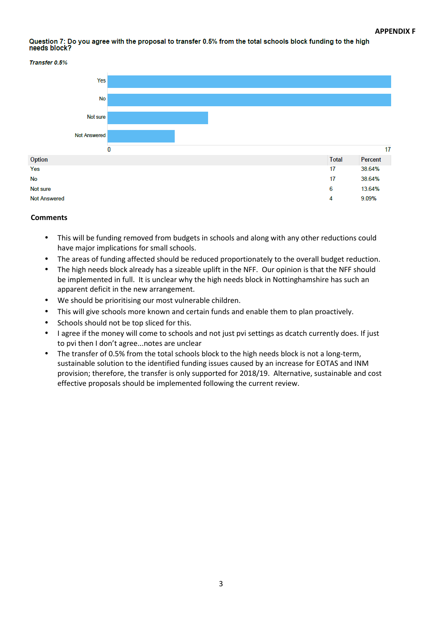#### Question 7: Do you agree with the proposal to transfer 0.5% from the total schools block funding to the high needs block?



#### **Transfer 0.5%**

- This will be funding removed from budgets in schools and along with any other reductions could have major implications for small schools.
- The areas of funding affected should be reduced proportionately to the overall budget reduction.
- The high needs block already has a sizeable uplift in the NFF. Our opinion is that the NFF should be implemented in full. It is unclear why the high needs block in Nottinghamshire has such an apparent deficit in the new arrangement.
- We should be prioritising our most vulnerable children.
- This will give schools more known and certain funds and enable them to plan proactively.
- Schools should not be top sliced for this.
- I agree if the money will come to schools and not just pvi settings as dcatch currently does. If just to pvi then I don't agree...notes are unclear
- The transfer of 0.5% from the total schools block to the high needs block is not a long-term, sustainable solution to the identified funding issues caused by an increase for EOTAS and INM provision; therefore, the transfer is only supported for 2018/19. Alternative, sustainable and cost effective proposals should be implemented following the current review.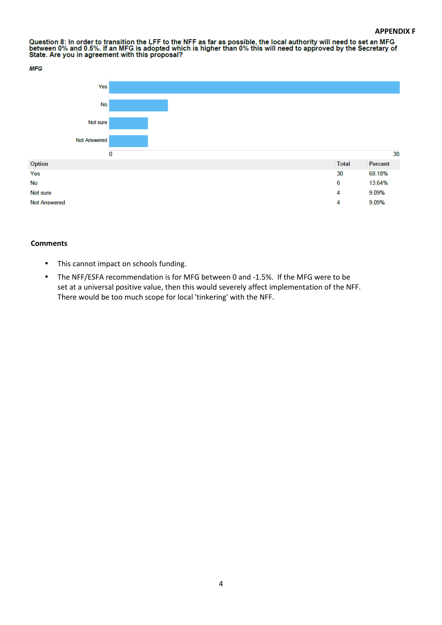Question 8: In order to transition the LFF to the NFF as far as possible, the local authority will need to set an MFG<br>between 0% and 0.5%. If an MFG is adopted which is higher than 0% this will need to approved by the Secr





- This cannot impact on schools funding.
- The NFF/ESFA recommendation is for MFG between 0 and -1.5%. If the MFG were to be set at a universal positive value, then this would severely affect implementation of the NFF. There would be too much scope for local 'tinkering' with the NFF.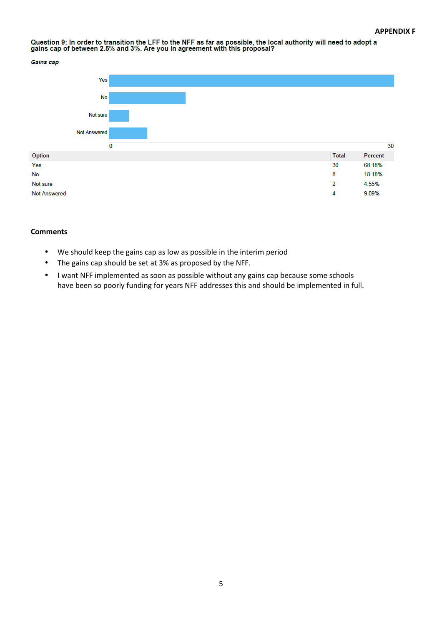# Question 9: In order to transition the LFF to the NFF as far as possible, the local authority will need to adopt a<br>gains cap of between 2.5% and 3%. Are you in agreement with this proposal?

**Gains cap** 



- We should keep the gains cap as low as possible in the interim period
- The gains cap should be set at 3% as proposed by the NFF.
- I want NFF implemented as soon as possible without any gains cap because some schools have been so poorly funding for years NFF addresses this and should be implemented in full.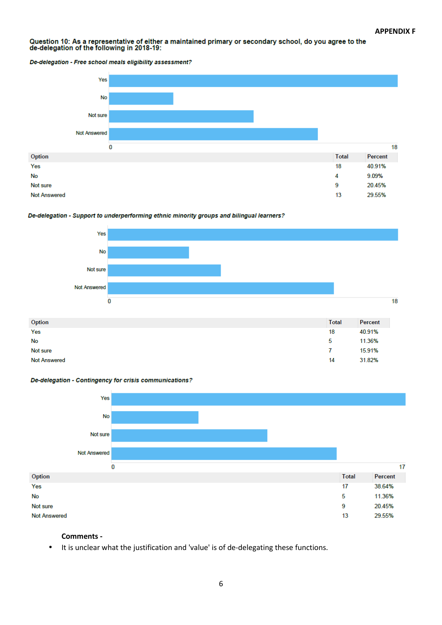# Question 10: As a representative of either a maintained primary or secondary school, do you agree to the<br>de-delegation of the following in 2018-19:

De-delegation - Free school meals eligibility assessment?











## **Comments -**

• It is unclear what the justification and 'value' is of de-delegating these functions.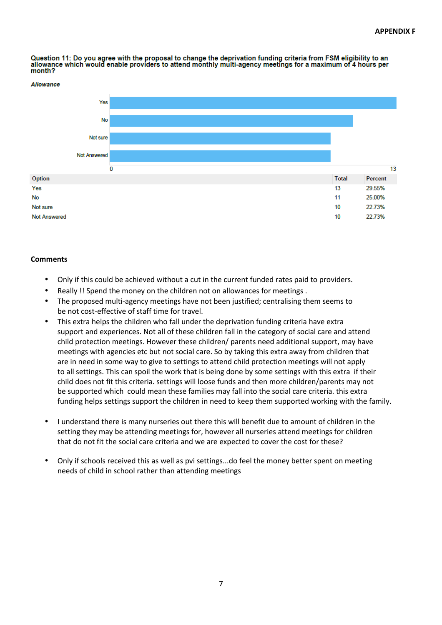$13$ 

Question 11: Do you agree with the proposal to change the deprivation funding criteria from FSM eligibility to an allowance which would enable providers to attend monthly multi-agency meetings for a maximum of 4 hours per month?





# **Comments**

**Allowance** 

- Only if this could be achieved without a cut in the current funded rates paid to providers.
- Really !! Spend the money on the children not on allowances for meetings.
- The proposed multi-agency meetings have not been justified; centralising them seems to be not cost-effective of staff time for travel.
- This extra helps the children who fall under the deprivation funding criteria have extra support and experiences. Not all of these children fall in the category of social care and attend child protection meetings. However these children/ parents need additional support, may have meetings with agencies etc but not social care. So by taking this extra away from children that are in need in some way to give to settings to attend child protection meetings will not apply to all settings. This can spoil the work that is being done by some settings with this extra if their child does not fit this criteria. settings will loose funds and then more children/parents may not be supported which could mean these families may fall into the social care criteria. this extra funding helps settings support the children in need to keep them supported working with the family.
- I understand there is many nurseries out there this will benefit due to amount of children in the setting they may be attending meetings for, however all nurseries attend meetings for children that do not fit the social care criteria and we are expected to cover the cost for these?
- Only if schools received this as well as pvi settings...do feel the money better spent on meeting needs of child in school rather than attending meetings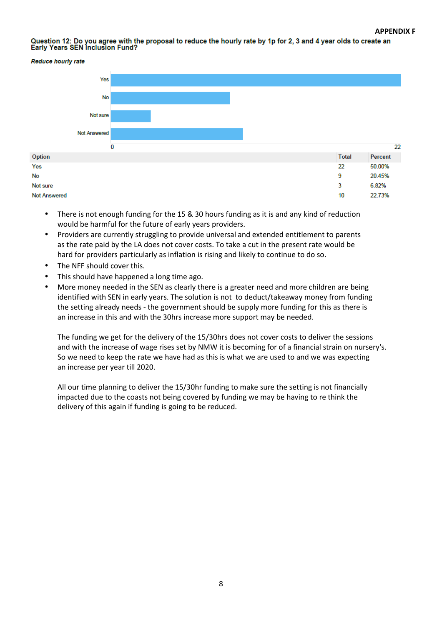Question 12: Do you agree with the proposal to reduce the hourly rate by 1p for 2, 3 and 4 year olds to create an<br>Early Years SEN Inclusion Fund?



- There is not enough funding for the 15 & 30 hours funding as it is and any kind of reduction would be harmful for the future of early years providers.
- Providers are currently struggling to provide universal and extended entitlement to parents as the rate paid by the LA does not cover costs. To take a cut in the present rate would be hard for providers particularly as inflation is rising and likely to continue to do so.
- The NFF should cover this.
- This should have happened a long time ago.
- More money needed in the SEN as clearly there is a greater need and more children are being identified with SEN in early years. The solution is not to deduct/takeaway money from funding the setting already needs - the government should be supply more funding for this as there is an increase in this and with the 30hrs increase more support may be needed.

The funding we get for the delivery of the 15/30hrs does not cover costs to deliver the sessions and with the increase of wage rises set by NMW it is becoming for of a financial strain on nursery's. So we need to keep the rate we have had as this is what we are used to and we was expecting an increase per year till 2020.

All our time planning to deliver the 15/30hr funding to make sure the setting is not financially impacted due to the coasts not being covered by funding we may be having to re think the delivery of this again if funding is going to be reduced.